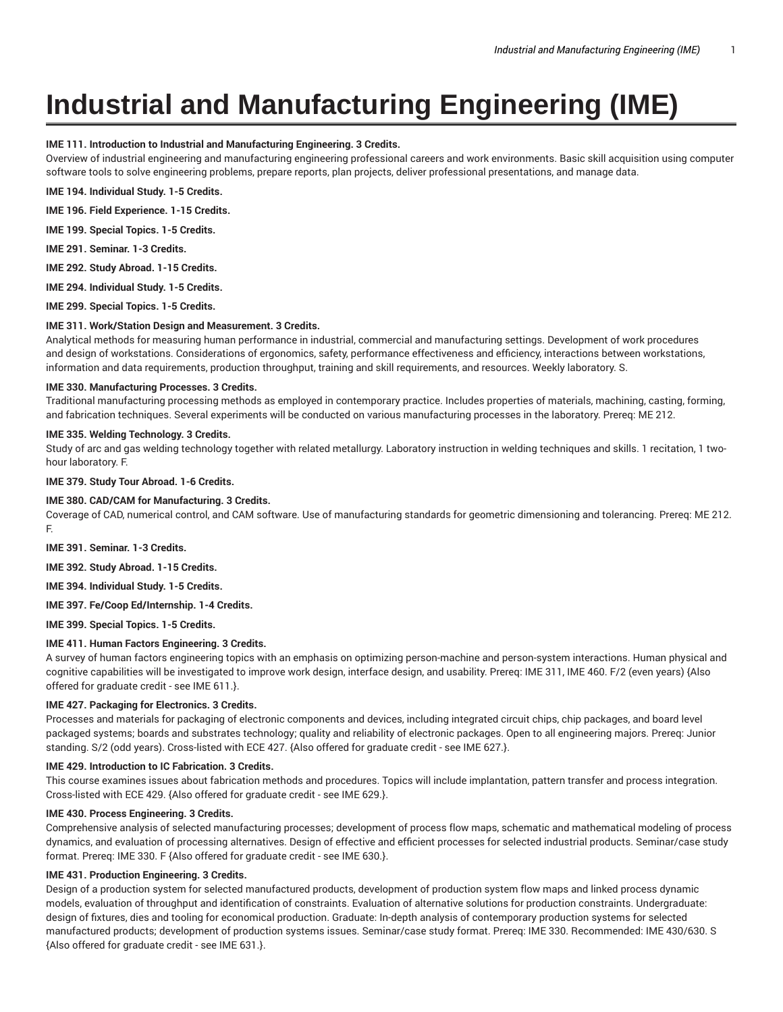# **Industrial and Manufacturing Engineering (IME)**

# **IME 111. Introduction to Industrial and Manufacturing Engineering. 3 Credits.**

Overview of industrial engineering and manufacturing engineering professional careers and work environments. Basic skill acquisition using computer software tools to solve engineering problems, prepare reports, plan projects, deliver professional presentations, and manage data.

**IME 194. Individual Study. 1-5 Credits.**

**IME 196. Field Experience. 1-15 Credits.**

**IME 199. Special Topics. 1-5 Credits.**

**IME 291. Seminar. 1-3 Credits.**

**IME 292. Study Abroad. 1-15 Credits.**

**IME 294. Individual Study. 1-5 Credits.**

**IME 299. Special Topics. 1-5 Credits.**

## **IME 311. Work/Station Design and Measurement. 3 Credits.**

Analytical methods for measuring human performance in industrial, commercial and manufacturing settings. Development of work procedures and design of workstations. Considerations of ergonomics, safety, performance effectiveness and efficiency, interactions between workstations, information and data requirements, production throughput, training and skill requirements, and resources. Weekly laboratory. S.

## **IME 330. Manufacturing Processes. 3 Credits.**

Traditional manufacturing processing methods as employed in contemporary practice. Includes properties of materials, machining, casting, forming, and fabrication techniques. Several experiments will be conducted on various manufacturing processes in the laboratory. Prereq: ME 212.

## **IME 335. Welding Technology. 3 Credits.**

Study of arc and gas welding technology together with related metallurgy. Laboratory instruction in welding techniques and skills. 1 recitation, 1 twohour laboratory. F.

**IME 379. Study Tour Abroad. 1-6 Credits.**

## **IME 380. CAD/CAM for Manufacturing. 3 Credits.**

Coverage of CAD, numerical control, and CAM software. Use of manufacturing standards for geometric dimensioning and tolerancing. Prereq: ME 212. F.

**IME 391. Seminar. 1-3 Credits.**

**IME 392. Study Abroad. 1-15 Credits.**

**IME 394. Individual Study. 1-5 Credits.**

**IME 397. Fe/Coop Ed/Internship. 1-4 Credits.**

**IME 399. Special Topics. 1-5 Credits.**

## **IME 411. Human Factors Engineering. 3 Credits.**

A survey of human factors engineering topics with an emphasis on optimizing person-machine and person-system interactions. Human physical and cognitive capabilities will be investigated to improve work design, interface design, and usability. Prereq: IME 311, IME 460. F/2 (even years) {Also offered for graduate credit - see IME 611.}.

## **IME 427. Packaging for Electronics. 3 Credits.**

Processes and materials for packaging of electronic components and devices, including integrated circuit chips, chip packages, and board level packaged systems; boards and substrates technology; quality and reliability of electronic packages. Open to all engineering majors. Prereq: Junior standing. S/2 (odd years). Cross-listed with ECE 427. {Also offered for graduate credit - see IME 627.}.

# **IME 429. Introduction to IC Fabrication. 3 Credits.**

This course examines issues about fabrication methods and procedures. Topics will include implantation, pattern transfer and process integration. Cross-listed with ECE 429. {Also offered for graduate credit - see IME 629.}.

## **IME 430. Process Engineering. 3 Credits.**

Comprehensive analysis of selected manufacturing processes; development of process flow maps, schematic and mathematical modeling of process dynamics, and evaluation of processing alternatives. Design of effective and efficient processes for selected industrial products. Seminar/case study format. Prereq: IME 330. F {Also offered for graduate credit - see IME 630.}.

## **IME 431. Production Engineering. 3 Credits.**

Design of a production system for selected manufactured products, development of production system flow maps and linked process dynamic models, evaluation of throughput and identification of constraints. Evaluation of alternative solutions for production constraints. Undergraduate: design of fixtures, dies and tooling for economical production. Graduate: In-depth analysis of contemporary production systems for selected manufactured products; development of production systems issues. Seminar/case study format. Prereq: IME 330. Recommended: IME 430/630. S {Also offered for graduate credit - see IME 631.}.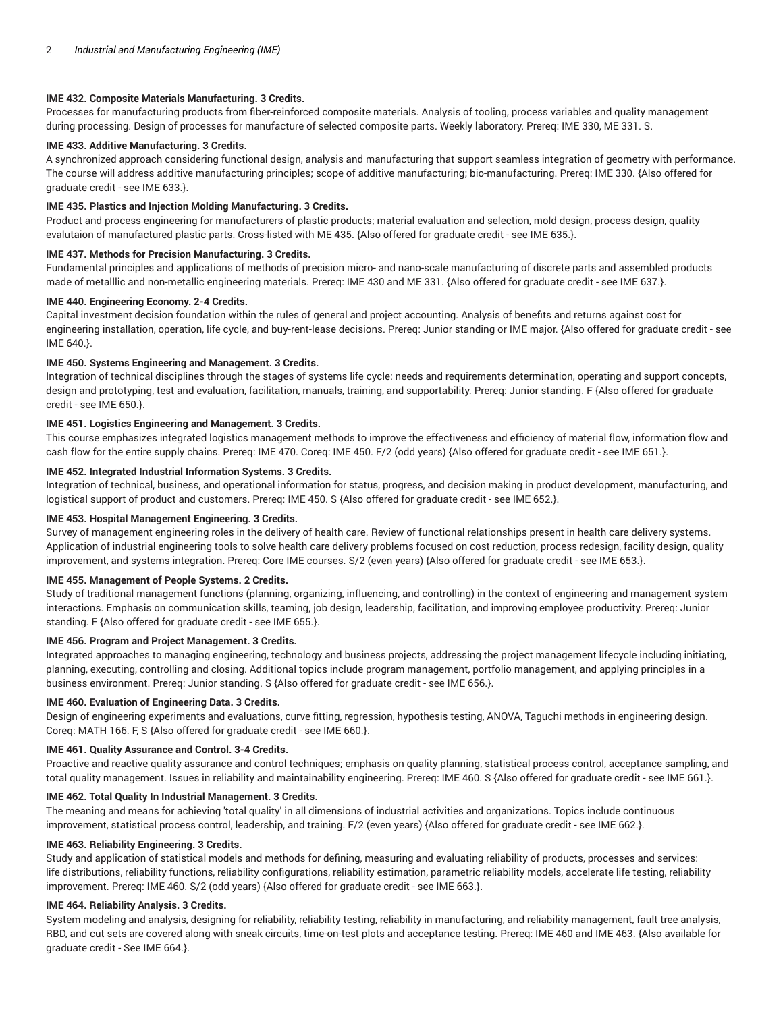## **IME 432. Composite Materials Manufacturing. 3 Credits.**

Processes for manufacturing products from fiber-reinforced composite materials. Analysis of tooling, process variables and quality management during processing. Design of processes for manufacture of selected composite parts. Weekly laboratory. Prereq: IME 330, ME 331. S.

# **IME 433. Additive Manufacturing. 3 Credits.**

A synchronized approach considering functional design, analysis and manufacturing that support seamless integration of geometry with performance. The course will address additive manufacturing principles; scope of additive manufacturing; bio-manufacturing. Prereq: IME 330. {Also offered for graduate credit - see IME 633.}.

#### **IME 435. Plastics and Injection Molding Manufacturing. 3 Credits.**

Product and process engineering for manufacturers of plastic products; material evaluation and selection, mold design, process design, quality evalutaion of manufactured plastic parts. Cross-listed with ME 435. {Also offered for graduate credit - see IME 635.}.

# **IME 437. Methods for Precision Manufacturing. 3 Credits.**

Fundamental principles and applications of methods of precision micro- and nano-scale manufacturing of discrete parts and assembled products made of metalllic and non-metallic engineering materials. Prereq: IME 430 and ME 331. {Also offered for graduate credit - see IME 637.}.

#### **IME 440. Engineering Economy. 2-4 Credits.**

Capital investment decision foundation within the rules of general and project accounting. Analysis of benefits and returns against cost for engineering installation, operation, life cycle, and buy-rent-lease decisions. Prereq: Junior standing or IME major. {Also offered for graduate credit - see IME 640.}.

#### **IME 450. Systems Engineering and Management. 3 Credits.**

Integration of technical disciplines through the stages of systems life cycle: needs and requirements determination, operating and support concepts, design and prototyping, test and evaluation, facilitation, manuals, training, and supportability. Prereq: Junior standing. F {Also offered for graduate credit - see IME 650.}.

## **IME 451. Logistics Engineering and Management. 3 Credits.**

This course emphasizes integrated logistics management methods to improve the effectiveness and efficiency of material flow, information flow and cash flow for the entire supply chains. Prereq: IME 470. Coreq: IME 450. F/2 (odd years) {Also offered for graduate credit - see IME 651.}.

## **IME 452. Integrated Industrial Information Systems. 3 Credits.**

Integration of technical, business, and operational information for status, progress, and decision making in product development, manufacturing, and logistical support of product and customers. Prereq: IME 450. S {Also offered for graduate credit - see IME 652.}.

#### **IME 453. Hospital Management Engineering. 3 Credits.**

Survey of management engineering roles in the delivery of health care. Review of functional relationships present in health care delivery systems. Application of industrial engineering tools to solve health care delivery problems focused on cost reduction, process redesign, facility design, quality improvement, and systems integration. Prereq: Core IME courses. S/2 (even years) {Also offered for graduate credit - see IME 653.}.

#### **IME 455. Management of People Systems. 2 Credits.**

Study of traditional management functions (planning, organizing, influencing, and controlling) in the context of engineering and management system interactions. Emphasis on communication skills, teaming, job design, leadership, facilitation, and improving employee productivity. Prereq: Junior standing. F {Also offered for graduate credit - see IME 655.}.

#### **IME 456. Program and Project Management. 3 Credits.**

Integrated approaches to managing engineering, technology and business projects, addressing the project management lifecycle including initiating, planning, executing, controlling and closing. Additional topics include program management, portfolio management, and applying principles in a business environment. Prereq: Junior standing. S {Also offered for graduate credit - see IME 656.}.

## **IME 460. Evaluation of Engineering Data. 3 Credits.**

Design of engineering experiments and evaluations, curve fitting, regression, hypothesis testing, ANOVA, Taguchi methods in engineering design. Coreq: MATH 166. F, S {Also offered for graduate credit - see IME 660.}.

## **IME 461. Quality Assurance and Control. 3-4 Credits.**

Proactive and reactive quality assurance and control techniques; emphasis on quality planning, statistical process control, acceptance sampling, and total quality management. Issues in reliability and maintainability engineering. Prereq: IME 460. S {Also offered for graduate credit - see IME 661.}.

#### **IME 462. Total Quality In Industrial Management. 3 Credits.**

The meaning and means for achieving 'total quality' in all dimensions of industrial activities and organizations. Topics include continuous improvement, statistical process control, leadership, and training. F/2 (even years) {Also offered for graduate credit - see IME 662.}.

## **IME 463. Reliability Engineering. 3 Credits.**

Study and application of statistical models and methods for defining, measuring and evaluating reliability of products, processes and services: life distributions, reliability functions, reliability configurations, reliability estimation, parametric reliability models, accelerate life testing, reliability improvement. Prereq: IME 460. S/2 (odd years) {Also offered for graduate credit - see IME 663.}.

### **IME 464. Reliability Analysis. 3 Credits.**

System modeling and analysis, designing for reliability, reliability testing, reliability in manufacturing, and reliability management, fault tree analysis, RBD, and cut sets are covered along with sneak circuits, time-on-test plots and acceptance testing. Prereq: IME 460 and IME 463. {Also available for graduate credit - See IME 664.}.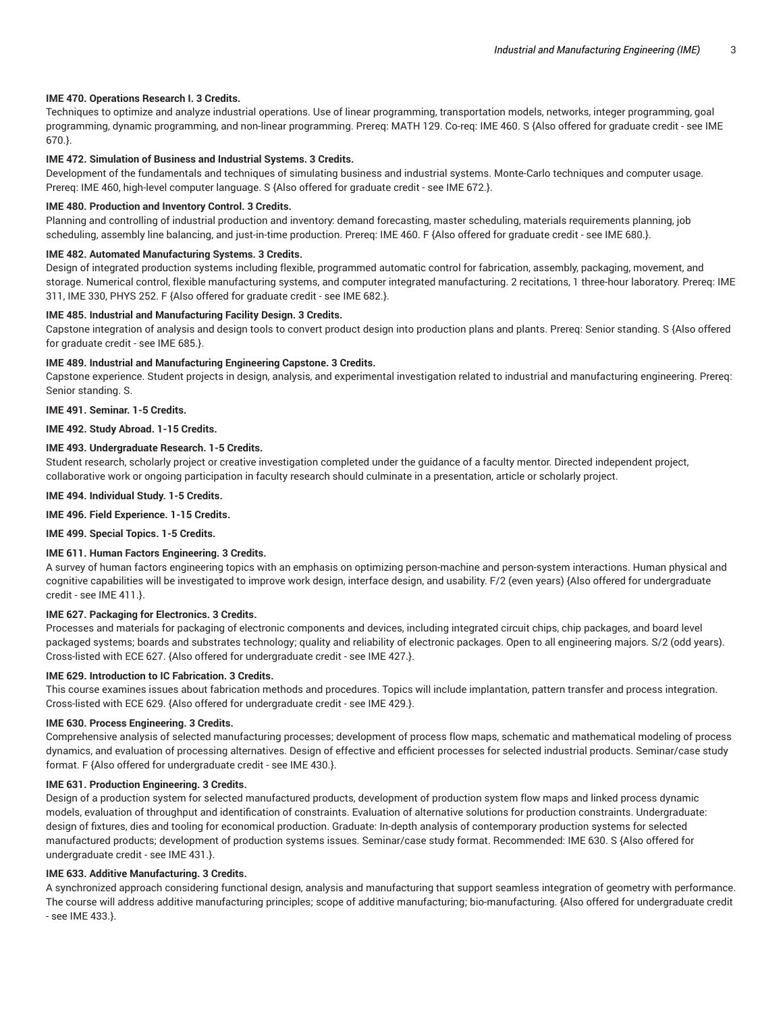## **IME 470. Operations Research I. 3 Credits.**

Techniques to optimize and analyze industrial operations. Use of linear programming, transportation models, networks, integer programming, goal programming, dynamic programming, and non-linear programming. Prereq: MATH 129. Co-req: IME 460. S {Also offered for graduate credit - see IME 670.}.

#### **IME 472. Simulation of Business and Industrial Systems. 3 Credits.**

Development of the fundamentals and techniques of simulating business and industrial systems. Monte-Carlo techniques and computer usage. Prereq: IME 460, high-level computer language. S {Also offered for graduate credit - see IME 672.}.

#### **IME 480. Production and Inventory Control. 3 Credits.**

Planning and controlling of industrial production and inventory: demand forecasting, master scheduling, materials requirements planning, job scheduling, assembly line balancing, and just-in-time production. Prereq: IME 460. F {Also offered for graduate credit - see IME 680.}.

#### **IME 482. Automated Manufacturing Systems. 3 Credits.**

Design of integrated production systems including flexible, programmed automatic control for fabrication, assembly, packaging, movement, and storage. Numerical control, flexible manufacturing systems, and computer integrated manufacturing. 2 recitations, 1 three-hour laboratory. Prereq: IME 311, IME 330, PHYS 252. F {Also offered for graduate credit - see IME 682.}.

#### **IME 485. Industrial and Manufacturing Facility Design. 3 Credits.**

Capstone integration of analysis and design tools to convert product design into production plans and plants. Prereq: Senior standing. S {Also offered for graduate credit - see IME 685.}.

## **IME 489. Industrial and Manufacturing Engineering Capstone. 3 Credits.**

Capstone experience. Student projects in design, analysis, and experimental investigation related to industrial and manufacturing engineering. Prereq: Senior standing. S.

## **IME 491. Seminar. 1-5 Credits.**

**IME 492. Study Abroad. 1-15 Credits.**

## **IME 493. Undergraduate Research. 1-5 Credits.**

Student research, scholarly project or creative investigation completed under the guidance of a faculty mentor. Directed independent project, collaborative work or ongoing participation in faculty research should culminate in a presentation, article or scholarly project.

## **IME 494. Individual Study. 1-5 Credits.**

## **IME 496. Field Experience. 1-15 Credits.**

**IME 499. Special Topics. 1-5 Credits.**

## **IME 611. Human Factors Engineering. 3 Credits.**

A survey of human factors engineering topics with an emphasis on optimizing person-machine and person-system interactions. Human physical and cognitive capabilities will be investigated to improve work design, interface design, and usability. F/2 (even years) {Also offered for undergraduate credit - see IME 411.}.

## **IME 627. Packaging for Electronics. 3 Credits.**

Processes and materials for packaging of electronic components and devices, including integrated circuit chips, chip packages, and board level packaged systems; boards and substrates technology; quality and reliability of electronic packages. Open to all engineering majors. S/2 (odd years). Cross-listed with ECE 627. {Also offered for undergraduate credit - see IME 427.}.

## **IME 629. Introduction to IC Fabrication. 3 Credits.**

This course examines issues about fabrication methods and procedures. Topics will include implantation, pattern transfer and process integration. Cross-listed with ECE 629. {Also offered for undergraduate credit - see IME 429.}.

#### **IME 630. Process Engineering. 3 Credits.**

Comprehensive analysis of selected manufacturing processes; development of process flow maps, schematic and mathematical modeling of process dynamics, and evaluation of processing alternatives. Design of effective and efficient processes for selected industrial products. Seminar/case study format. F {Also offered for undergraduate credit - see IME 430.}.

## **IME 631. Production Engineering. 3 Credits.**

Design of a production system for selected manufactured products, development of production system flow maps and linked process dynamic models, evaluation of throughput and identification of constraints. Evaluation of alternative solutions for production constraints. Undergraduate: design of fixtures, dies and tooling for economical production. Graduate: In-depth analysis of contemporary production systems for selected manufactured products; development of production systems issues. Seminar/case study format. Recommended: IME 630. S {Also offered for undergraduate credit - see IME 431.}.

## **IME 633. Additive Manufacturing. 3 Credits.**

A synchronized approach considering functional design, analysis and manufacturing that support seamless integration of geometry with performance. The course will address additive manufacturing principles; scope of additive manufacturing; bio-manufacturing. {Also offered for undergraduate credit - see IME 433.}.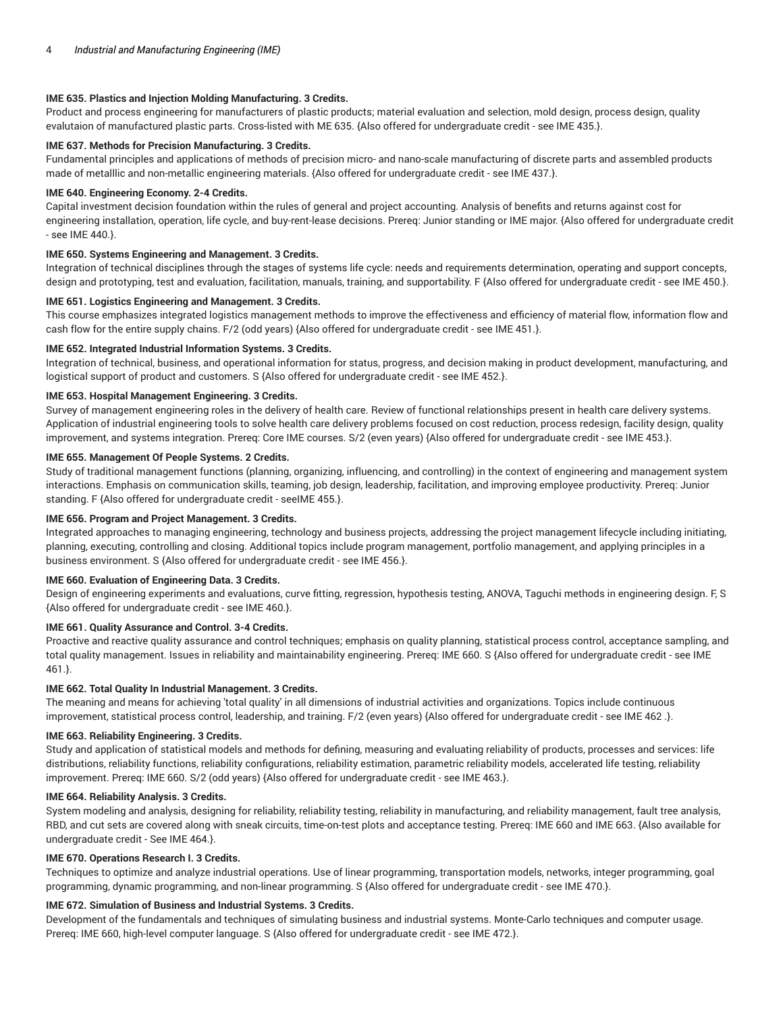## **IME 635. Plastics and Injection Molding Manufacturing. 3 Credits.**

Product and process engineering for manufacturers of plastic products; material evaluation and selection, mold design, process design, quality evalutaion of manufactured plastic parts. Cross-listed with ME 635. {Also offered for undergraduate credit - see IME 435.}.

# **IME 637. Methods for Precision Manufacturing. 3 Credits.**

Fundamental principles and applications of methods of precision micro- and nano-scale manufacturing of discrete parts and assembled products made of metalllic and non-metallic engineering materials. {Also offered for undergraduate credit - see IME 437.}.

## **IME 640. Engineering Economy. 2-4 Credits.**

Capital investment decision foundation within the rules of general and project accounting. Analysis of benefits and returns against cost for engineering installation, operation, life cycle, and buy-rent-lease decisions. Prereq: Junior standing or IME major. {Also offered for undergraduate credit - see IME 440.}.

## **IME 650. Systems Engineering and Management. 3 Credits.**

Integration of technical disciplines through the stages of systems life cycle: needs and requirements determination, operating and support concepts, design and prototyping, test and evaluation, facilitation, manuals, training, and supportability. F {Also offered for undergraduate credit - see IME 450.}.

## **IME 651. Logistics Engineering and Management. 3 Credits.**

This course emphasizes integrated logistics management methods to improve the effectiveness and efficiency of material flow, information flow and cash flow for the entire supply chains. F/2 (odd years) {Also offered for undergraduate credit - see IME 451.}.

## **IME 652. Integrated Industrial Information Systems. 3 Credits.**

Integration of technical, business, and operational information for status, progress, and decision making in product development, manufacturing, and logistical support of product and customers. S {Also offered for undergraduate credit - see IME 452.}.

## **IME 653. Hospital Management Engineering. 3 Credits.**

Survey of management engineering roles in the delivery of health care. Review of functional relationships present in health care delivery systems. Application of industrial engineering tools to solve health care delivery problems focused on cost reduction, process redesign, facility design, quality improvement, and systems integration. Prereq: Core IME courses. S/2 (even years) {Also offered for undergraduate credit - see IME 453.}.

## **IME 655. Management Of People Systems. 2 Credits.**

Study of traditional management functions (planning, organizing, influencing, and controlling) in the context of engineering and management system interactions. Emphasis on communication skills, teaming, job design, leadership, facilitation, and improving employee productivity. Prereq: Junior standing. F {Also offered for undergraduate credit - seeIME 455.}.

## **IME 656. Program and Project Management. 3 Credits.**

Integrated approaches to managing engineering, technology and business projects, addressing the project management lifecycle including initiating, planning, executing, controlling and closing. Additional topics include program management, portfolio management, and applying principles in a business environment. S {Also offered for undergraduate credit - see IME 456.}.

#### **IME 660. Evaluation of Engineering Data. 3 Credits.**

Design of engineering experiments and evaluations, curve fitting, regression, hypothesis testing, ANOVA, Taguchi methods in engineering design. F, S {Also offered for undergraduate credit - see IME 460.}.

#### **IME 661. Quality Assurance and Control. 3-4 Credits.**

Proactive and reactive quality assurance and control techniques; emphasis on quality planning, statistical process control, acceptance sampling, and total quality management. Issues in reliability and maintainability engineering. Prereq: IME 660. S {Also offered for undergraduate credit - see IME 461.}.

#### **IME 662. Total Quality In Industrial Management. 3 Credits.**

The meaning and means for achieving 'total quality' in all dimensions of industrial activities and organizations. Topics include continuous improvement, statistical process control, leadership, and training. F/2 (even years) {Also offered for undergraduate credit - see IME 462 .}.

## **IME 663. Reliability Engineering. 3 Credits.**

Study and application of statistical models and methods for defining, measuring and evaluating reliability of products, processes and services: life distributions, reliability functions, reliability configurations, reliability estimation, parametric reliability models, accelerated life testing, reliability improvement. Prereq: IME 660. S/2 (odd years) {Also offered for undergraduate credit - see IME 463.}.

#### **IME 664. Reliability Analysis. 3 Credits.**

System modeling and analysis, designing for reliability, reliability testing, reliability in manufacturing, and reliability management, fault tree analysis, RBD, and cut sets are covered along with sneak circuits, time-on-test plots and acceptance testing. Prereq: IME 660 and IME 663. {Also available for undergraduate credit - See IME 464.}.

#### **IME 670. Operations Research I. 3 Credits.**

Techniques to optimize and analyze industrial operations. Use of linear programming, transportation models, networks, integer programming, goal programming, dynamic programming, and non-linear programming. S {Also offered for undergraduate credit - see IME 470.}.

## **IME 672. Simulation of Business and Industrial Systems. 3 Credits.**

Development of the fundamentals and techniques of simulating business and industrial systems. Monte-Carlo techniques and computer usage. Prereq: IME 660, high-level computer language. S {Also offered for undergraduate credit - see IME 472.}.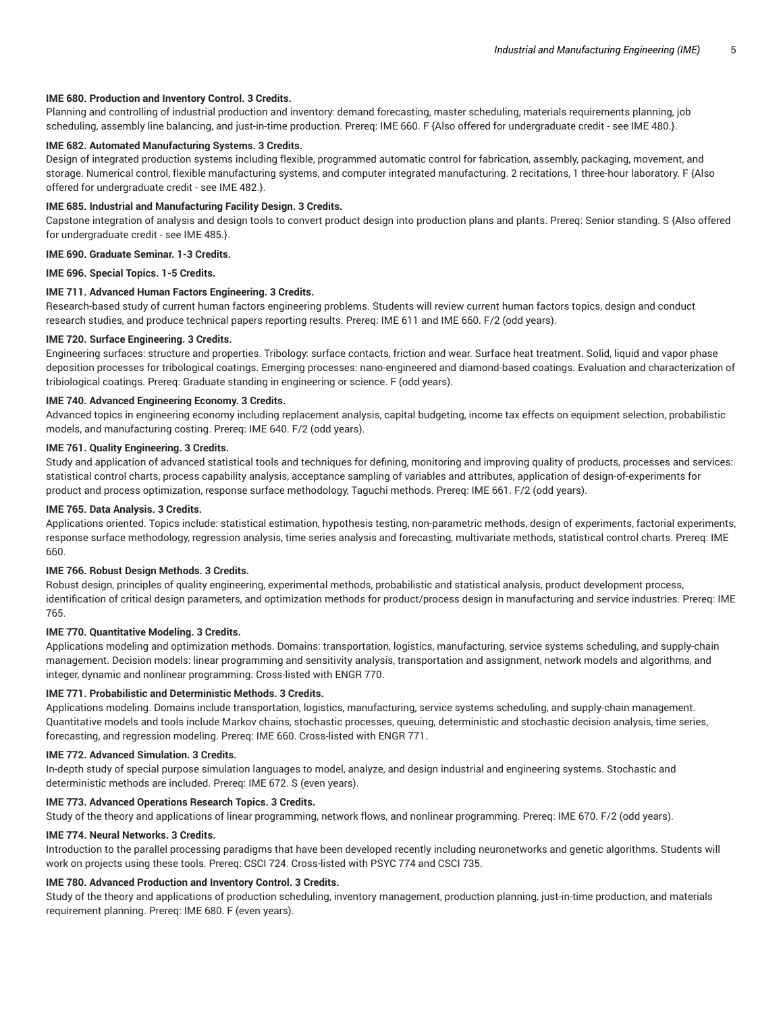## **IME 680. Production and Inventory Control. 3 Credits.**

Planning and controlling of industrial production and inventory: demand forecasting, master scheduling, materials requirements planning, job scheduling, assembly line balancing, and just-in-time production. Prereq: IME 660. F {Also offered for undergraduate credit - see IME 480.}.

## **IME 682. Automated Manufacturing Systems. 3 Credits.**

Design of integrated production systems including flexible, programmed automatic control for fabrication, assembly, packaging, movement, and storage. Numerical control, flexible manufacturing systems, and computer integrated manufacturing. 2 recitations, 1 three-hour laboratory. F {Also offered for undergraduate credit - see IME 482.}.

## **IME 685. Industrial and Manufacturing Facility Design. 3 Credits.**

Capstone integration of analysis and design tools to convert product design into production plans and plants. Prereq: Senior standing. S {Also offered for undergraduate credit - see IME 485.}.

## **IME 690. Graduate Seminar. 1-3 Credits.**

**IME 696. Special Topics. 1-5 Credits.**

## **IME 711. Advanced Human Factors Engineering. 3 Credits.**

Research-based study of current human factors engineering problems. Students will review current human factors topics, design and conduct research studies, and produce technical papers reporting results. Prereq: IME 611 and IME 660. F/2 (odd years).

## **IME 720. Surface Engineering. 3 Credits.**

Engineering surfaces: structure and properties. Tribology: surface contacts, friction and wear. Surface heat treatment. Solid, liquid and vapor phase deposition processes for tribological coatings. Emerging processes: nano-engineered and diamond-based coatings. Evaluation and characterization of tribiological coatings. Prereq: Graduate standing in engineering or science. F (odd years).

## **IME 740. Advanced Engineering Economy. 3 Credits.**

Advanced topics in engineering economy including replacement analysis, capital budgeting, income tax effects on equipment selection, probabilistic models, and manufacturing costing. Prereq: IME 640. F/2 (odd years).

## **IME 761. Quality Engineering. 3 Credits.**

Study and application of advanced statistical tools and techniques for defining, monitoring and improving quality of products, processes and services: statistical control charts, process capability analysis, acceptance sampling of variables and attributes, application of design-of-experiments for product and process optimization, response surface methodology, Taguchi methods. Prereq: IME 661. F/2 (odd years).

### **IME 765. Data Analysis. 3 Credits.**

Applications oriented. Topics include: statistical estimation, hypothesis testing, non-parametric methods, design of experiments, factorial experiments, response surface methodology, regression analysis, time series analysis and forecasting, multivariate methods, statistical control charts. Prereq: IME 660.

## **IME 766. Robust Design Methods. 3 Credits.**

Robust design, principles of quality engineering, experimental methods, probabilistic and statistical analysis, product development process, identification of critical design parameters, and optimization methods for product/process design in manufacturing and service industries. Prereq: IME 765.

# **IME 770. Quantitative Modeling. 3 Credits.**

Applications modeling and optimization methods. Domains: transportation, logistics, manufacturing, service systems scheduling, and supply-chain management. Decision models: linear programming and sensitivity analysis, transportation and assignment, network models and algorithms, and integer, dynamic and nonlinear programming. Cross-listed with ENGR 770.

## **IME 771. Probabilistic and Deterministic Methods. 3 Credits.**

Applications modeling. Domains include transportation, logistics, manufacturing, service systems scheduling, and supply-chain management. Quantitative models and tools include Markov chains, stochastic processes, queuing, deterministic and stochastic decision analysis, time series, forecasting, and regression modeling. Prereq: IME 660. Cross-listed with ENGR 771.

#### **IME 772. Advanced Simulation. 3 Credits.**

In-depth study of special purpose simulation languages to model, analyze, and design industrial and engineering systems. Stochastic and deterministic methods are included. Prereq: IME 672. S (even years).

## **IME 773. Advanced Operations Research Topics. 3 Credits.**

Study of the theory and applications of linear programming, network flows, and nonlinear programming. Prereq: IME 670. F/2 (odd years).

#### **IME 774. Neural Networks. 3 Credits.**

Introduction to the parallel processing paradigms that have been developed recently including neuronetworks and genetic algorithms. Students will work on projects using these tools. Prereq: CSCI 724. Cross-listed with PSYC 774 and CSCI 735.

## **IME 780. Advanced Production and Inventory Control. 3 Credits.**

Study of the theory and applications of production scheduling, inventory management, production planning, just-in-time production, and materials requirement planning. Prereq: IME 680. F (even years).